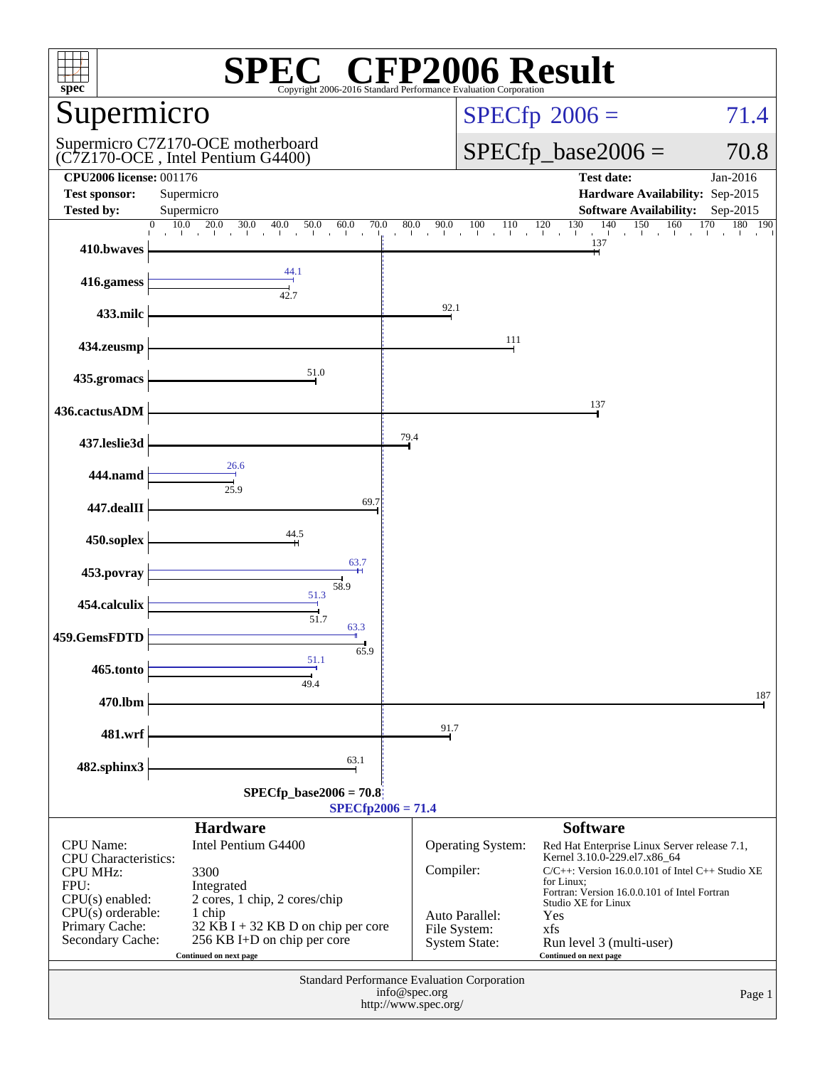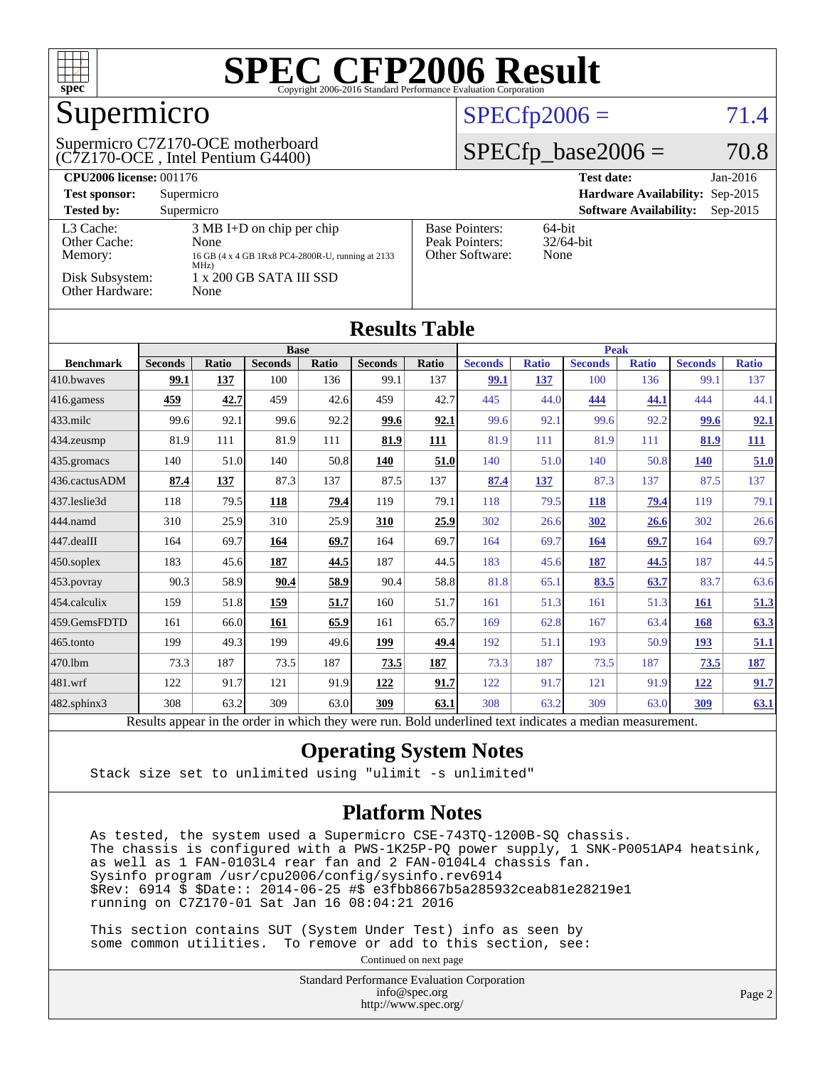

# Supermicro

#### (C7Z170-OCE , Intel Pentium G4400) Supermicro C7Z170-OCE motherboard

### $SPECfp2006 = 71.4$  $SPECfp2006 = 71.4$

#### $SPECfp\_base2006 = 70.8$

| <b>CPU2006 license: 001176</b>       |                                                                                                          |                                                            | <b>Test date:</b><br>$Jan-2016$             |
|--------------------------------------|----------------------------------------------------------------------------------------------------------|------------------------------------------------------------|---------------------------------------------|
| <b>Test sponsor:</b>                 | Supermicro                                                                                               |                                                            | Hardware Availability: Sep-2015             |
| <b>Tested by:</b>                    | Supermicro                                                                                               |                                                            | <b>Software Availability:</b><br>$Sep-2015$ |
| L3 Cache:<br>Other Cache:<br>Memory: | $3 \text{ MB I+D}$ on chip per chip<br>None<br>16 GB (4 x 4 GB 1Rx8 PC4-2800R-U, running at 2133<br>MHz) | <b>Base Pointers:</b><br>Peak Pointers:<br>Other Software: | $64$ -bit<br>$32/64$ -bit<br>None           |
| Disk Subsystem:<br>Other Hardware:   | 1 x 200 GB SATA III SSD<br>None                                                                          |                                                            |                                             |

| <b>Results Table</b> |                |              |                |       |                |       |                |              |                |              |                |              |
|----------------------|----------------|--------------|----------------|-------|----------------|-------|----------------|--------------|----------------|--------------|----------------|--------------|
|                      | <b>Base</b>    |              |                |       | <b>Peak</b>    |       |                |              |                |              |                |              |
| <b>Benchmark</b>     | <b>Seconds</b> | <b>Ratio</b> | <b>Seconds</b> | Ratio | <b>Seconds</b> | Ratio | <b>Seconds</b> | <b>Ratio</b> | <b>Seconds</b> | <b>Ratio</b> | <b>Seconds</b> | <b>Ratio</b> |
| 410.bwaves           | 99.1           | 137          | 100            | 136   | 99.1           | 137   | 99.1           | 137          | 100            | 136          | 99.1           | 137          |
| 416.gamess           | 459            | 42.7         | 459            | 42.6  | 459            | 42.7  | 445            | 44.0         | 444            | 44.1         | 444            | 44.1         |
| 433.milc             | 99.6           | 92.1         | 99.6           | 92.2  | 99.6           | 92.1  | 99.6           | 92.1         | 99.6           | 92.2         | 99.6           | <u>92.1</u>  |
| 434.zeusmp           | 81.9           | 111          | 81.9           | 111   | 81.9           | 111   | 81.9           | 111          | 81.9           | 111          | 81.9           | <b>111</b>   |
| 435.gromacs          | 140            | 51.0         | 140            | 50.8  | 140            | 51.0  | 140            | 51.0         | 140            | 50.8         | <b>140</b>     | 51.0         |
| 436.cactusADM        | 87.4           | 137          | 87.3           | 137   | 87.5           | 137   | 87.4           | 137          | 87.3           | 137          | 87.5           | 137          |
| 437.leslie3d         | 118            | 79.5         | 118            | 79.4  | 119            | 79.1  | 118            | 79.5         | <b>118</b>     | 79.4         | 119            | 79.1         |
| 444.namd             | 310            | 25.9         | 310            | 25.9  | 310            | 25.9  | 302            | 26.6         | 302            | 26.6         | 302            | 26.6         |
| 447.dealII           | 164            | 69.7         | 164            | 69.7  | 164            | 69.7  | 164            | 69.7         | 164            | 69.7         | 164            | 69.7         |
| 450.soplex           | 183            | 45.6         | <b>187</b>     | 44.5  | 187            | 44.5  | 183            | 45.6         | 187            | 44.5         | 187            | 44.5         |
| 453.povray           | 90.3           | 58.9         | 90.4           | 58.9  | 90.4           | 58.8  | 81.8           | 65.1         | 83.5           | 63.7         | 83.7           | 63.6         |
| 454.calculix         | 159            | 51.8         | 159            | 51.7  | 160            | 51.7  | 161            | 51.3         | 161            | 51.3         | 161            | 51.3         |
| 459.GemsFDTD         | 161            | 66.0         | 161            | 65.9  | 161            | 65.7  | 169            | 62.8         | 167            | 63.4         | 168            | 63.3         |
| 465.tonto            | 199            | 49.3         | 199            | 49.6  | <u>199</u>     | 49.4  | 192            | 51.1         | 193            | 50.9         | 193            | 51.1         |
| 470.1bm              | 73.3           | 187          | 73.5           | 187   | 73.5           | 187   | 73.3           | 187          | 73.5           | 187          | 73.5           | <u>187</u>   |
| 481.wrf              | 122            | 91.7         | 121            | 91.9  | 122            | 91.7  | 122            | 91.7         | 121            | 91.9         | <u>122</u>     | 91.7         |
| 482.sphinx3          | 308            | 63.2         | 309            | 63.0  | 309            | 63.1  | 308            | 63.2         | 309            | 63.0         | 309            | 63.1         |

#### Results appear in the [order in which they were run.](http://www.spec.org/auto/cpu2006/Docs/result-fields.html#RunOrder) Bold underlined text [indicates a median measurement.](http://www.spec.org/auto/cpu2006/Docs/result-fields.html#Median)

#### **[Operating System Notes](http://www.spec.org/auto/cpu2006/Docs/result-fields.html#OperatingSystemNotes)**

Stack size set to unlimited using "ulimit -s unlimited"

#### **[Platform Notes](http://www.spec.org/auto/cpu2006/Docs/result-fields.html#PlatformNotes)**

 As tested, the system used a Supermicro CSE-743TQ-1200B-SQ chassis. The chassis is configured with a PWS-1K25P-PQ power supply, 1 SNK-P0051AP4 heatsink, as well as 1 FAN-0103L4 rear fan and 2 FAN-0104L4 chassis fan. Sysinfo program /usr/cpu2006/config/sysinfo.rev6914 \$Rev: 6914 \$ \$Date:: 2014-06-25 #\$ e3fbb8667b5a285932ceab81e28219e1 running on C7Z170-01 Sat Jan 16 08:04:21 2016

 This section contains SUT (System Under Test) info as seen by some common utilities. To remove or add to this section, see:

Continued on next page

Standard Performance Evaluation Corporation [info@spec.org](mailto:info@spec.org) <http://www.spec.org/>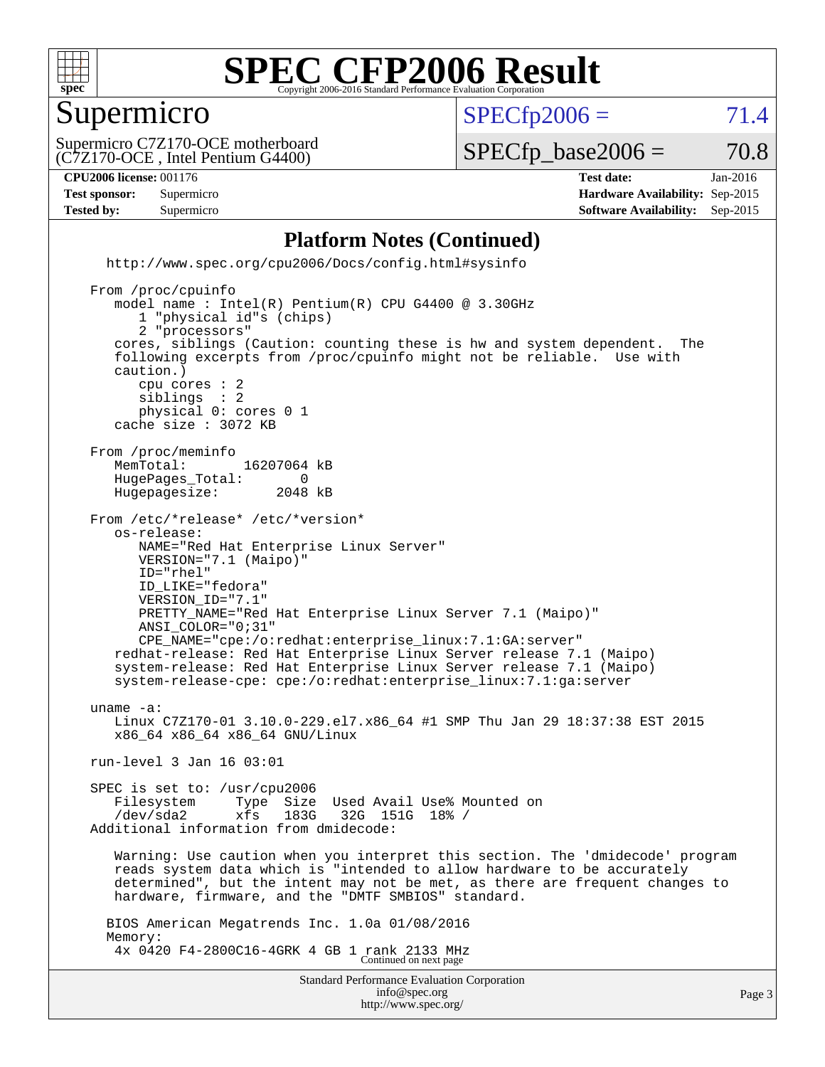

#### Supermicro

 $SPECTp2006 = 71.4$ 

(C7Z170-OCE , Intel Pentium G4400) Supermicro C7Z170-OCE motherboard

 $SPECTp\_base2006 = 70.8$ 

**[CPU2006 license:](http://www.spec.org/auto/cpu2006/Docs/result-fields.html#CPU2006license)** 001176 **[Test date:](http://www.spec.org/auto/cpu2006/Docs/result-fields.html#Testdate)** Jan-2016 **[Test sponsor:](http://www.spec.org/auto/cpu2006/Docs/result-fields.html#Testsponsor)** Supermicro **[Hardware Availability:](http://www.spec.org/auto/cpu2006/Docs/result-fields.html#HardwareAvailability)** Sep-2015 **[Tested by:](http://www.spec.org/auto/cpu2006/Docs/result-fields.html#Testedby)** Supermicro **Supermicro [Software Availability:](http://www.spec.org/auto/cpu2006/Docs/result-fields.html#SoftwareAvailability)** Sep-2015

#### **[Platform Notes \(Continued\)](http://www.spec.org/auto/cpu2006/Docs/result-fields.html#PlatformNotes)**

Standard Performance Evaluation Corporation [info@spec.org](mailto:info@spec.org) <http://www.spec.org/cpu2006/Docs/config.html#sysinfo> From /proc/cpuinfo model name : Intel(R) Pentium(R) CPU G4400 @ 3.30GHz 1 "physical id"s (chips) 2 "processors" cores, siblings (Caution: counting these is hw and system dependent. The following excerpts from /proc/cpuinfo might not be reliable. Use with caution.) cpu cores : 2 siblings physical 0: cores 0 1 cache size : 3072 KB From /proc/meminfo MemTotal: 16207064 kB<br>HugePages Total: 0 HugePages\_Total: 0 Hugepagesize: 2048 kB From /etc/\*release\* /etc/\*version\* os-release: NAME="Red Hat Enterprise Linux Server" VERSION="7.1 (Maipo)" ID="rhel" ID\_LIKE="fedora" VERSION\_ID="7.1" PRETTY\_NAME="Red Hat Enterprise Linux Server 7.1 (Maipo)" ANSI\_COLOR="0;31" CPE\_NAME="cpe:/o:redhat:enterprise\_linux:7.1:GA:server" redhat-release: Red Hat Enterprise Linux Server release 7.1 (Maipo) system-release: Red Hat Enterprise Linux Server release 7.1 (Maipo) system-release-cpe: cpe:/o:redhat:enterprise\_linux:7.1:ga:server uname -a: Linux C7Z170-01 3.10.0-229.el7.x86\_64 #1 SMP Thu Jan 29 18:37:38 EST 2015 x86\_64 x86\_64 x86\_64 GNU/Linux run-level 3 Jan 16 03:01 SPEC is set to: /usr/cpu2006 Filesystem Type Size Used Avail Use% Mounted on<br>
/dev/sda2 xfs 183G 32G 151G 18% / /dev/sda2 xfs 183G 32G 151G 18% / Additional information from dmidecode: Warning: Use caution when you interpret this section. The 'dmidecode' program reads system data which is "intended to allow hardware to be accurately determined", but the intent may not be met, as there are frequent changes to hardware, firmware, and the "DMTF SMBIOS" standard. BIOS American Megatrends Inc. 1.0a 01/08/2016 Memory: 4x 0420 F4-2800C16-4GRK 4 GB 1 rank 2133 MHz Continued on next page

<http://www.spec.org/>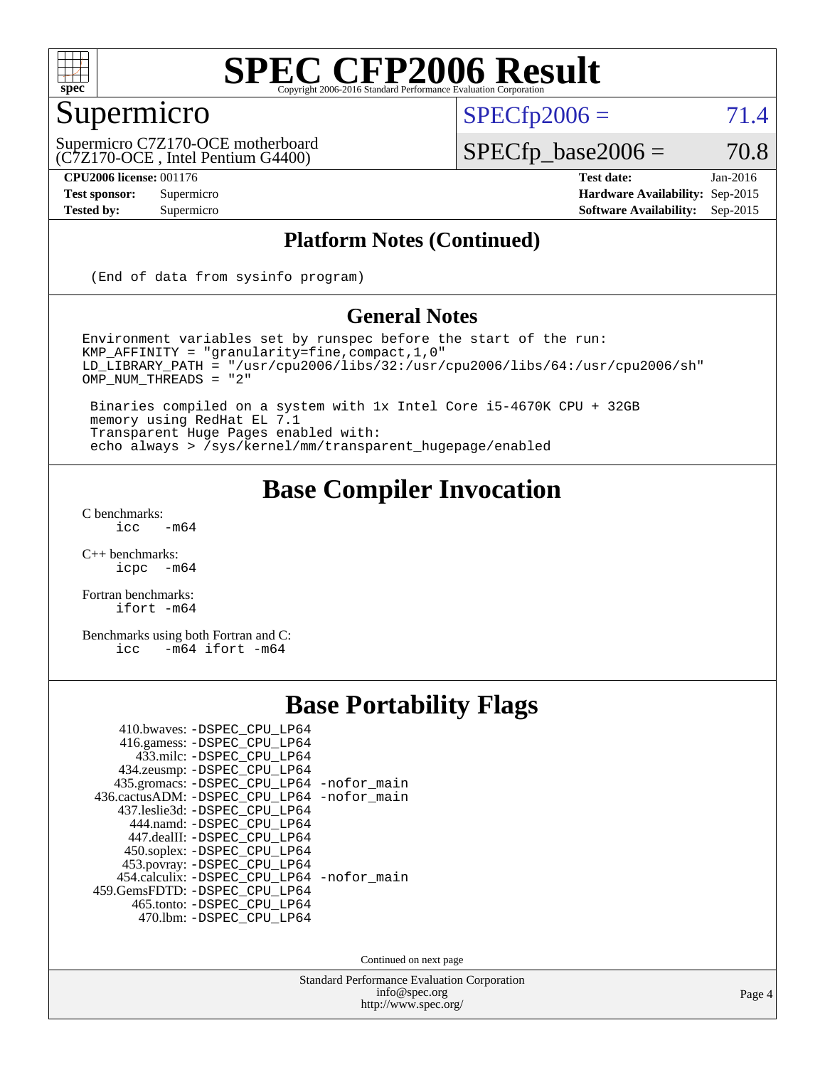

### Supermicro

 $SPECTp2006 = 71.4$ 

(C7Z170-OCE , Intel Pentium G4400) Supermicro C7Z170-OCE motherboard

**[CPU2006 license:](http://www.spec.org/auto/cpu2006/Docs/result-fields.html#CPU2006license)** 001176 **[Test date:](http://www.spec.org/auto/cpu2006/Docs/result-fields.html#Testdate)** Jan-2016

 $SPECfp\_base2006 = 70.8$ 

**[Test sponsor:](http://www.spec.org/auto/cpu2006/Docs/result-fields.html#Testsponsor)** Supermicro **[Hardware Availability:](http://www.spec.org/auto/cpu2006/Docs/result-fields.html#HardwareAvailability)** Sep-2015 **[Tested by:](http://www.spec.org/auto/cpu2006/Docs/result-fields.html#Testedby)** Supermicro **Supermicro [Software Availability:](http://www.spec.org/auto/cpu2006/Docs/result-fields.html#SoftwareAvailability)** Sep-2015

#### **[Platform Notes \(Continued\)](http://www.spec.org/auto/cpu2006/Docs/result-fields.html#PlatformNotes)**

(End of data from sysinfo program)

#### **[General Notes](http://www.spec.org/auto/cpu2006/Docs/result-fields.html#GeneralNotes)**

Environment variables set by runspec before the start of the run: KMP\_AFFINITY = "granularity=fine,compact,1,0" LD\_LIBRARY\_PATH = "/usr/cpu2006/libs/32:/usr/cpu2006/libs/64:/usr/cpu2006/sh" OMP\_NUM\_THREADS = "2"

 Binaries compiled on a system with 1x Intel Core i5-4670K CPU + 32GB memory using RedHat EL 7.1 Transparent Huge Pages enabled with: echo always > /sys/kernel/mm/transparent\_hugepage/enabled

#### **[Base Compiler Invocation](http://www.spec.org/auto/cpu2006/Docs/result-fields.html#BaseCompilerInvocation)**

 $C$  benchmarks:<br>icc  $-m64$ 

[C++ benchmarks:](http://www.spec.org/auto/cpu2006/Docs/result-fields.html#CXXbenchmarks) [icpc -m64](http://www.spec.org/cpu2006/results/res2016q1/cpu2006-20160120-38711.flags.html#user_CXXbase_intel_icpc_64bit_bedb90c1146cab66620883ef4f41a67e)

[Fortran benchmarks](http://www.spec.org/auto/cpu2006/Docs/result-fields.html#Fortranbenchmarks): [ifort -m64](http://www.spec.org/cpu2006/results/res2016q1/cpu2006-20160120-38711.flags.html#user_FCbase_intel_ifort_64bit_ee9d0fb25645d0210d97eb0527dcc06e)

[Benchmarks using both Fortran and C](http://www.spec.org/auto/cpu2006/Docs/result-fields.html#BenchmarksusingbothFortranandC): [icc -m64](http://www.spec.org/cpu2006/results/res2016q1/cpu2006-20160120-38711.flags.html#user_CC_FCbase_intel_icc_64bit_0b7121f5ab7cfabee23d88897260401c) [ifort -m64](http://www.spec.org/cpu2006/results/res2016q1/cpu2006-20160120-38711.flags.html#user_CC_FCbase_intel_ifort_64bit_ee9d0fb25645d0210d97eb0527dcc06e)

### **[Base Portability Flags](http://www.spec.org/auto/cpu2006/Docs/result-fields.html#BasePortabilityFlags)**

| 410.bwaves: -DSPEC CPU LP64                 |  |
|---------------------------------------------|--|
| 416.gamess: -DSPEC_CPU_LP64                 |  |
| 433.milc: -DSPEC CPU LP64                   |  |
| 434.zeusmp: -DSPEC_CPU_LP64                 |  |
| 435.gromacs: -DSPEC_CPU_LP64 -nofor_main    |  |
| 436.cactusADM: -DSPEC_CPU_LP64 -nofor_main  |  |
| 437.leslie3d: -DSPEC_CPU LP64               |  |
| 444.namd: -DSPEC CPU LP64                   |  |
| 447.dealII: -DSPEC CPU LP64                 |  |
| 450.soplex: -DSPEC_CPU_LP64                 |  |
| 453.povray: -DSPEC_CPU_LP64                 |  |
| 454.calculix: - DSPEC CPU LP64 - nofor main |  |
| 459.GemsFDTD: - DSPEC CPU LP64              |  |
| 465.tonto: - DSPEC_CPU_LP64                 |  |
| 470.1bm: - DSPEC CPU LP64                   |  |

Continued on next page

Standard Performance Evaluation Corporation [info@spec.org](mailto:info@spec.org) <http://www.spec.org/>

Page 4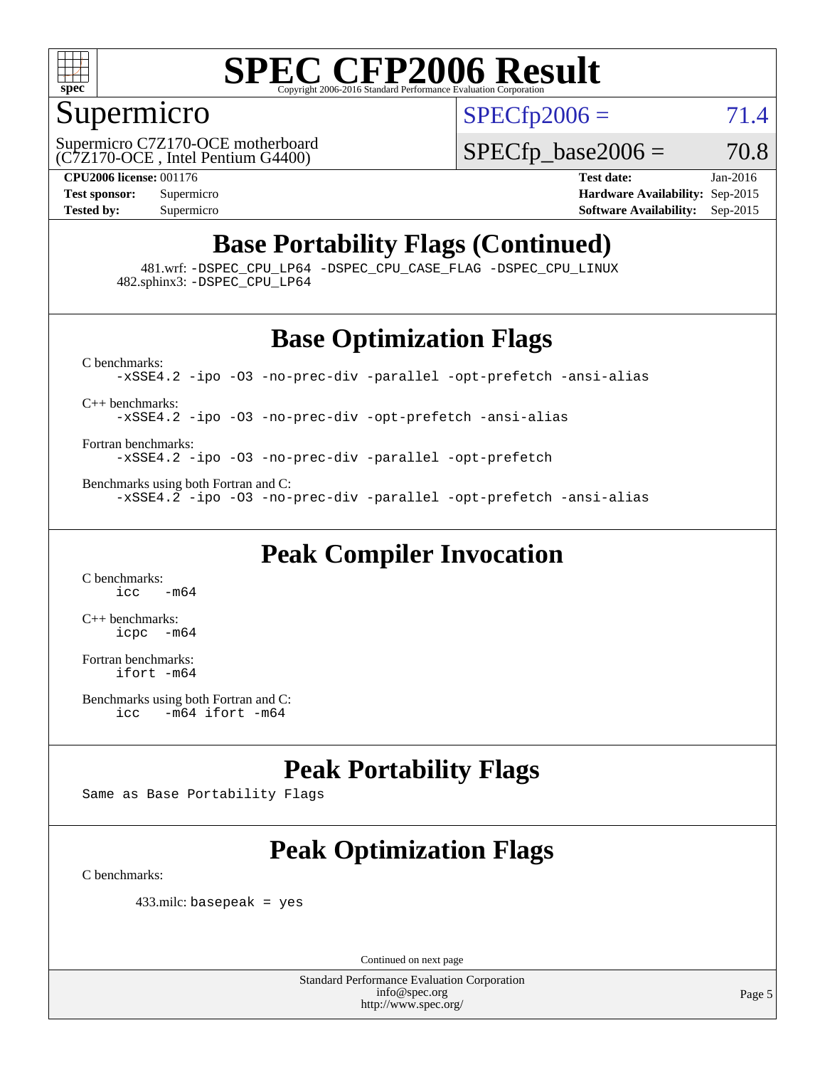

#### Supermicro

 $SPECTp2006 = 71.4$ 

(C7Z170-OCE , Intel Pentium G4400) Supermicro C7Z170-OCE motherboard  $SPECTp\_base2006 = 70.8$ 

**[CPU2006 license:](http://www.spec.org/auto/cpu2006/Docs/result-fields.html#CPU2006license)** 001176 **[Test date:](http://www.spec.org/auto/cpu2006/Docs/result-fields.html#Testdate)** Jan-2016 **[Test sponsor:](http://www.spec.org/auto/cpu2006/Docs/result-fields.html#Testsponsor)** Supermicro **[Hardware Availability:](http://www.spec.org/auto/cpu2006/Docs/result-fields.html#HardwareAvailability)** Sep-2015 **[Tested by:](http://www.spec.org/auto/cpu2006/Docs/result-fields.html#Testedby)** Supermicro **Supermicro [Software Availability:](http://www.spec.org/auto/cpu2006/Docs/result-fields.html#SoftwareAvailability)** Sep-2015

### **[Base Portability Flags \(Continued\)](http://www.spec.org/auto/cpu2006/Docs/result-fields.html#BasePortabilityFlags)**

 481.wrf: [-DSPEC\\_CPU\\_LP64](http://www.spec.org/cpu2006/results/res2016q1/cpu2006-20160120-38711.flags.html#suite_basePORTABILITY481_wrf_DSPEC_CPU_LP64) [-DSPEC\\_CPU\\_CASE\\_FLAG](http://www.spec.org/cpu2006/results/res2016q1/cpu2006-20160120-38711.flags.html#b481.wrf_baseCPORTABILITY_DSPEC_CPU_CASE_FLAG) [-DSPEC\\_CPU\\_LINUX](http://www.spec.org/cpu2006/results/res2016q1/cpu2006-20160120-38711.flags.html#b481.wrf_baseCPORTABILITY_DSPEC_CPU_LINUX) 482.sphinx3: [-DSPEC\\_CPU\\_LP64](http://www.spec.org/cpu2006/results/res2016q1/cpu2006-20160120-38711.flags.html#suite_basePORTABILITY482_sphinx3_DSPEC_CPU_LP64)

### **[Base Optimization Flags](http://www.spec.org/auto/cpu2006/Docs/result-fields.html#BaseOptimizationFlags)**

[C benchmarks](http://www.spec.org/auto/cpu2006/Docs/result-fields.html#Cbenchmarks):

[-xSSE4.2](http://www.spec.org/cpu2006/results/res2016q1/cpu2006-20160120-38711.flags.html#user_CCbase_f-xSSE42_f91528193cf0b216347adb8b939d4107) [-ipo](http://www.spec.org/cpu2006/results/res2016q1/cpu2006-20160120-38711.flags.html#user_CCbase_f-ipo) [-O3](http://www.spec.org/cpu2006/results/res2016q1/cpu2006-20160120-38711.flags.html#user_CCbase_f-O3) [-no-prec-div](http://www.spec.org/cpu2006/results/res2016q1/cpu2006-20160120-38711.flags.html#user_CCbase_f-no-prec-div) [-parallel](http://www.spec.org/cpu2006/results/res2016q1/cpu2006-20160120-38711.flags.html#user_CCbase_f-parallel) [-opt-prefetch](http://www.spec.org/cpu2006/results/res2016q1/cpu2006-20160120-38711.flags.html#user_CCbase_f-opt-prefetch) [-ansi-alias](http://www.spec.org/cpu2006/results/res2016q1/cpu2006-20160120-38711.flags.html#user_CCbase_f-ansi-alias)

[C++ benchmarks:](http://www.spec.org/auto/cpu2006/Docs/result-fields.html#CXXbenchmarks)

[-xSSE4.2](http://www.spec.org/cpu2006/results/res2016q1/cpu2006-20160120-38711.flags.html#user_CXXbase_f-xSSE42_f91528193cf0b216347adb8b939d4107) [-ipo](http://www.spec.org/cpu2006/results/res2016q1/cpu2006-20160120-38711.flags.html#user_CXXbase_f-ipo) [-O3](http://www.spec.org/cpu2006/results/res2016q1/cpu2006-20160120-38711.flags.html#user_CXXbase_f-O3) [-no-prec-div](http://www.spec.org/cpu2006/results/res2016q1/cpu2006-20160120-38711.flags.html#user_CXXbase_f-no-prec-div) [-opt-prefetch](http://www.spec.org/cpu2006/results/res2016q1/cpu2006-20160120-38711.flags.html#user_CXXbase_f-opt-prefetch) [-ansi-alias](http://www.spec.org/cpu2006/results/res2016q1/cpu2006-20160120-38711.flags.html#user_CXXbase_f-ansi-alias)

[Fortran benchmarks](http://www.spec.org/auto/cpu2006/Docs/result-fields.html#Fortranbenchmarks): [-xSSE4.2](http://www.spec.org/cpu2006/results/res2016q1/cpu2006-20160120-38711.flags.html#user_FCbase_f-xSSE42_f91528193cf0b216347adb8b939d4107) [-ipo](http://www.spec.org/cpu2006/results/res2016q1/cpu2006-20160120-38711.flags.html#user_FCbase_f-ipo) [-O3](http://www.spec.org/cpu2006/results/res2016q1/cpu2006-20160120-38711.flags.html#user_FCbase_f-O3) [-no-prec-div](http://www.spec.org/cpu2006/results/res2016q1/cpu2006-20160120-38711.flags.html#user_FCbase_f-no-prec-div) [-parallel](http://www.spec.org/cpu2006/results/res2016q1/cpu2006-20160120-38711.flags.html#user_FCbase_f-parallel) [-opt-prefetch](http://www.spec.org/cpu2006/results/res2016q1/cpu2006-20160120-38711.flags.html#user_FCbase_f-opt-prefetch)

[Benchmarks using both Fortran and C](http://www.spec.org/auto/cpu2006/Docs/result-fields.html#BenchmarksusingbothFortranandC): [-xSSE4.2](http://www.spec.org/cpu2006/results/res2016q1/cpu2006-20160120-38711.flags.html#user_CC_FCbase_f-xSSE42_f91528193cf0b216347adb8b939d4107) [-ipo](http://www.spec.org/cpu2006/results/res2016q1/cpu2006-20160120-38711.flags.html#user_CC_FCbase_f-ipo) [-O3](http://www.spec.org/cpu2006/results/res2016q1/cpu2006-20160120-38711.flags.html#user_CC_FCbase_f-O3) [-no-prec-div](http://www.spec.org/cpu2006/results/res2016q1/cpu2006-20160120-38711.flags.html#user_CC_FCbase_f-no-prec-div) [-parallel](http://www.spec.org/cpu2006/results/res2016q1/cpu2006-20160120-38711.flags.html#user_CC_FCbase_f-parallel) [-opt-prefetch](http://www.spec.org/cpu2006/results/res2016q1/cpu2006-20160120-38711.flags.html#user_CC_FCbase_f-opt-prefetch) [-ansi-alias](http://www.spec.org/cpu2006/results/res2016q1/cpu2006-20160120-38711.flags.html#user_CC_FCbase_f-ansi-alias)

### **[Peak Compiler Invocation](http://www.spec.org/auto/cpu2006/Docs/result-fields.html#PeakCompilerInvocation)**

[C benchmarks](http://www.spec.org/auto/cpu2006/Docs/result-fields.html#Cbenchmarks):  $\frac{1}{2}$ cc  $-\text{m64}$ 

[C++ benchmarks:](http://www.spec.org/auto/cpu2006/Docs/result-fields.html#CXXbenchmarks) [icpc -m64](http://www.spec.org/cpu2006/results/res2016q1/cpu2006-20160120-38711.flags.html#user_CXXpeak_intel_icpc_64bit_bedb90c1146cab66620883ef4f41a67e)

[Fortran benchmarks](http://www.spec.org/auto/cpu2006/Docs/result-fields.html#Fortranbenchmarks): [ifort -m64](http://www.spec.org/cpu2006/results/res2016q1/cpu2006-20160120-38711.flags.html#user_FCpeak_intel_ifort_64bit_ee9d0fb25645d0210d97eb0527dcc06e)

[Benchmarks using both Fortran and C](http://www.spec.org/auto/cpu2006/Docs/result-fields.html#BenchmarksusingbothFortranandC): [icc -m64](http://www.spec.org/cpu2006/results/res2016q1/cpu2006-20160120-38711.flags.html#user_CC_FCpeak_intel_icc_64bit_0b7121f5ab7cfabee23d88897260401c) [ifort -m64](http://www.spec.org/cpu2006/results/res2016q1/cpu2006-20160120-38711.flags.html#user_CC_FCpeak_intel_ifort_64bit_ee9d0fb25645d0210d97eb0527dcc06e)

### **[Peak Portability Flags](http://www.spec.org/auto/cpu2006/Docs/result-fields.html#PeakPortabilityFlags)**

Same as Base Portability Flags

### **[Peak Optimization Flags](http://www.spec.org/auto/cpu2006/Docs/result-fields.html#PeakOptimizationFlags)**

[C benchmarks](http://www.spec.org/auto/cpu2006/Docs/result-fields.html#Cbenchmarks):

433.milc: basepeak = yes

Continued on next page

Standard Performance Evaluation Corporation [info@spec.org](mailto:info@spec.org) <http://www.spec.org/>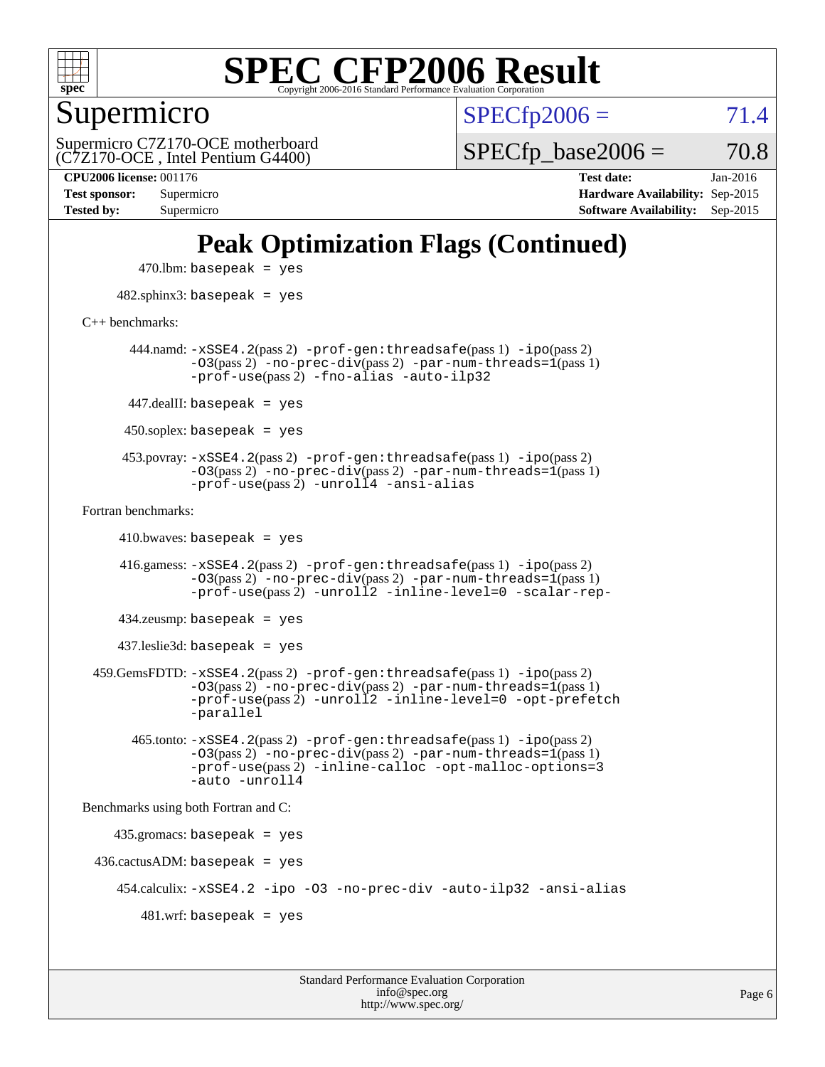

Supermicro

 $SPECTp2006 = 71.4$ 

(C7Z170-OCE , Intel Pentium G4400) Supermicro C7Z170-OCE motherboard  $SPECTp\_base2006 = 70.8$ 

**[Tested by:](http://www.spec.org/auto/cpu2006/Docs/result-fields.html#Testedby)** Supermicro **[Software Availability:](http://www.spec.org/auto/cpu2006/Docs/result-fields.html#SoftwareAvailability)** Sep-2015

**[CPU2006 license:](http://www.spec.org/auto/cpu2006/Docs/result-fields.html#CPU2006license)** 001176 **[Test date:](http://www.spec.org/auto/cpu2006/Docs/result-fields.html#Testdate)** Jan-2016 **[Test sponsor:](http://www.spec.org/auto/cpu2006/Docs/result-fields.html#Testsponsor)** Supermicro **[Hardware Availability:](http://www.spec.org/auto/cpu2006/Docs/result-fields.html#HardwareAvailability)** Sep-2015

## **[Peak Optimization Flags \(Continued\)](http://www.spec.org/auto/cpu2006/Docs/result-fields.html#PeakOptimizationFlags)**

 $470$ .lbm: basepeak = yes 482.sphinx3: basepeak = yes [C++ benchmarks:](http://www.spec.org/auto/cpu2006/Docs/result-fields.html#CXXbenchmarks) 444.namd: [-xSSE4.2](http://www.spec.org/cpu2006/results/res2016q1/cpu2006-20160120-38711.flags.html#user_peakPASS2_CXXFLAGSPASS2_LDFLAGS444_namd_f-xSSE42_f91528193cf0b216347adb8b939d4107)(pass 2) [-prof-gen:threadsafe](http://www.spec.org/cpu2006/results/res2016q1/cpu2006-20160120-38711.flags.html#user_peakPASS1_CXXFLAGSPASS1_LDFLAGS444_namd_prof_gen_21a26eb79f378b550acd7bec9fe4467a)(pass 1) [-ipo](http://www.spec.org/cpu2006/results/res2016q1/cpu2006-20160120-38711.flags.html#user_peakPASS2_CXXFLAGSPASS2_LDFLAGS444_namd_f-ipo)(pass 2)  $-03(pass 2)$  [-no-prec-div](http://www.spec.org/cpu2006/results/res2016q1/cpu2006-20160120-38711.flags.html#user_peakPASS2_CXXFLAGSPASS2_LDFLAGS444_namd_f-no-prec-div)(pass 2) [-par-num-threads=1](http://www.spec.org/cpu2006/results/res2016q1/cpu2006-20160120-38711.flags.html#user_peakPASS1_CXXFLAGSPASS1_LDFLAGS444_namd_par_num_threads_786a6ff141b4e9e90432e998842df6c2)(pass 1) [-prof-use](http://www.spec.org/cpu2006/results/res2016q1/cpu2006-20160120-38711.flags.html#user_peakPASS2_CXXFLAGSPASS2_LDFLAGS444_namd_prof_use_bccf7792157ff70d64e32fe3e1250b55)(pass 2) [-fno-alias](http://www.spec.org/cpu2006/results/res2016q1/cpu2006-20160120-38711.flags.html#user_peakCXXOPTIMIZEOPTIMIZE444_namd_f-no-alias_694e77f6c5a51e658e82ccff53a9e63a) [-auto-ilp32](http://www.spec.org/cpu2006/results/res2016q1/cpu2006-20160120-38711.flags.html#user_peakCXXOPTIMIZE444_namd_f-auto-ilp32) 447.dealII: basepeak = yes 450.soplex: basepeak = yes 453.povray: [-xSSE4.2](http://www.spec.org/cpu2006/results/res2016q1/cpu2006-20160120-38711.flags.html#user_peakPASS2_CXXFLAGSPASS2_LDFLAGS453_povray_f-xSSE42_f91528193cf0b216347adb8b939d4107)(pass 2) [-prof-gen:threadsafe](http://www.spec.org/cpu2006/results/res2016q1/cpu2006-20160120-38711.flags.html#user_peakPASS1_CXXFLAGSPASS1_LDFLAGS453_povray_prof_gen_21a26eb79f378b550acd7bec9fe4467a)(pass 1) [-ipo](http://www.spec.org/cpu2006/results/res2016q1/cpu2006-20160120-38711.flags.html#user_peakPASS2_CXXFLAGSPASS2_LDFLAGS453_povray_f-ipo)(pass 2) [-O3](http://www.spec.org/cpu2006/results/res2016q1/cpu2006-20160120-38711.flags.html#user_peakPASS2_CXXFLAGSPASS2_LDFLAGS453_povray_f-O3)(pass 2) [-no-prec-div](http://www.spec.org/cpu2006/results/res2016q1/cpu2006-20160120-38711.flags.html#user_peakPASS2_CXXFLAGSPASS2_LDFLAGS453_povray_f-no-prec-div)(pass 2) [-par-num-threads=1](http://www.spec.org/cpu2006/results/res2016q1/cpu2006-20160120-38711.flags.html#user_peakPASS1_CXXFLAGSPASS1_LDFLAGS453_povray_par_num_threads_786a6ff141b4e9e90432e998842df6c2)(pass 1)  $-prof$ -use(pass 2) [-unroll4](http://www.spec.org/cpu2006/results/res2016q1/cpu2006-20160120-38711.flags.html#user_peakCXXOPTIMIZE453_povray_f-unroll_4e5e4ed65b7fd20bdcd365bec371b81f) [-ansi-alias](http://www.spec.org/cpu2006/results/res2016q1/cpu2006-20160120-38711.flags.html#user_peakCXXOPTIMIZE453_povray_f-ansi-alias) [Fortran benchmarks](http://www.spec.org/auto/cpu2006/Docs/result-fields.html#Fortranbenchmarks):  $410.bwaves: basepeak = yes$  416.gamess: [-xSSE4.2](http://www.spec.org/cpu2006/results/res2016q1/cpu2006-20160120-38711.flags.html#user_peakPASS2_FFLAGSPASS2_LDFLAGS416_gamess_f-xSSE42_f91528193cf0b216347adb8b939d4107)(pass 2) [-prof-gen:threadsafe](http://www.spec.org/cpu2006/results/res2016q1/cpu2006-20160120-38711.flags.html#user_peakPASS1_FFLAGSPASS1_LDFLAGS416_gamess_prof_gen_21a26eb79f378b550acd7bec9fe4467a)(pass 1) [-ipo](http://www.spec.org/cpu2006/results/res2016q1/cpu2006-20160120-38711.flags.html#user_peakPASS2_FFLAGSPASS2_LDFLAGS416_gamess_f-ipo)(pass 2) [-O3](http://www.spec.org/cpu2006/results/res2016q1/cpu2006-20160120-38711.flags.html#user_peakPASS2_FFLAGSPASS2_LDFLAGS416_gamess_f-O3)(pass 2) [-no-prec-div](http://www.spec.org/cpu2006/results/res2016q1/cpu2006-20160120-38711.flags.html#user_peakPASS2_FFLAGSPASS2_LDFLAGS416_gamess_f-no-prec-div)(pass 2) [-par-num-threads=1](http://www.spec.org/cpu2006/results/res2016q1/cpu2006-20160120-38711.flags.html#user_peakPASS1_FFLAGSPASS1_LDFLAGS416_gamess_par_num_threads_786a6ff141b4e9e90432e998842df6c2)(pass 1) [-prof-use](http://www.spec.org/cpu2006/results/res2016q1/cpu2006-20160120-38711.flags.html#user_peakPASS2_FFLAGSPASS2_LDFLAGS416_gamess_prof_use_bccf7792157ff70d64e32fe3e1250b55)(pass 2) [-unroll2](http://www.spec.org/cpu2006/results/res2016q1/cpu2006-20160120-38711.flags.html#user_peakOPTIMIZE416_gamess_f-unroll_784dae83bebfb236979b41d2422d7ec2) [-inline-level=0](http://www.spec.org/cpu2006/results/res2016q1/cpu2006-20160120-38711.flags.html#user_peakOPTIMIZE416_gamess_f-inline-level_318d07a09274ad25e8d15dbfaa68ba50) [-scalar-rep-](http://www.spec.org/cpu2006/results/res2016q1/cpu2006-20160120-38711.flags.html#user_peakOPTIMIZE416_gamess_f-disablescalarrep_abbcad04450fb118e4809c81d83c8a1d) 434.zeusmp: basepeak = yes 437.leslie3d: basepeak = yes 459.GemsFDTD: [-xSSE4.2](http://www.spec.org/cpu2006/results/res2016q1/cpu2006-20160120-38711.flags.html#user_peakPASS2_FFLAGSPASS2_LDFLAGS459_GemsFDTD_f-xSSE42_f91528193cf0b216347adb8b939d4107)(pass 2) [-prof-gen:threadsafe](http://www.spec.org/cpu2006/results/res2016q1/cpu2006-20160120-38711.flags.html#user_peakPASS1_FFLAGSPASS1_LDFLAGS459_GemsFDTD_prof_gen_21a26eb79f378b550acd7bec9fe4467a)(pass 1) [-ipo](http://www.spec.org/cpu2006/results/res2016q1/cpu2006-20160120-38711.flags.html#user_peakPASS2_FFLAGSPASS2_LDFLAGS459_GemsFDTD_f-ipo)(pass 2)  $-03(pass 2)$  [-no-prec-div](http://www.spec.org/cpu2006/results/res2016q1/cpu2006-20160120-38711.flags.html#user_peakPASS2_FFLAGSPASS2_LDFLAGS459_GemsFDTD_f-no-prec-div)(pass 2) [-par-num-threads=1](http://www.spec.org/cpu2006/results/res2016q1/cpu2006-20160120-38711.flags.html#user_peakPASS1_FFLAGSPASS1_LDFLAGS459_GemsFDTD_par_num_threads_786a6ff141b4e9e90432e998842df6c2)(pass 1) [-prof-use](http://www.spec.org/cpu2006/results/res2016q1/cpu2006-20160120-38711.flags.html#user_peakPASS2_FFLAGSPASS2_LDFLAGS459_GemsFDTD_prof_use_bccf7792157ff70d64e32fe3e1250b55)(pass 2) [-unroll2](http://www.spec.org/cpu2006/results/res2016q1/cpu2006-20160120-38711.flags.html#user_peakOPTIMIZE459_GemsFDTD_f-unroll_784dae83bebfb236979b41d2422d7ec2) [-inline-level=0](http://www.spec.org/cpu2006/results/res2016q1/cpu2006-20160120-38711.flags.html#user_peakOPTIMIZE459_GemsFDTD_f-inline-level_318d07a09274ad25e8d15dbfaa68ba50) [-opt-prefetch](http://www.spec.org/cpu2006/results/res2016q1/cpu2006-20160120-38711.flags.html#user_peakOPTIMIZE459_GemsFDTD_f-opt-prefetch) [-parallel](http://www.spec.org/cpu2006/results/res2016q1/cpu2006-20160120-38711.flags.html#user_peakOPTIMIZE459_GemsFDTD_f-parallel) 465.tonto: [-xSSE4.2](http://www.spec.org/cpu2006/results/res2016q1/cpu2006-20160120-38711.flags.html#user_peakPASS2_FFLAGSPASS2_LDFLAGS465_tonto_f-xSSE42_f91528193cf0b216347adb8b939d4107)(pass 2) [-prof-gen:threadsafe](http://www.spec.org/cpu2006/results/res2016q1/cpu2006-20160120-38711.flags.html#user_peakPASS1_FFLAGSPASS1_LDFLAGS465_tonto_prof_gen_21a26eb79f378b550acd7bec9fe4467a)(pass 1) [-ipo](http://www.spec.org/cpu2006/results/res2016q1/cpu2006-20160120-38711.flags.html#user_peakPASS2_FFLAGSPASS2_LDFLAGS465_tonto_f-ipo)(pass 2) [-O3](http://www.spec.org/cpu2006/results/res2016q1/cpu2006-20160120-38711.flags.html#user_peakPASS2_FFLAGSPASS2_LDFLAGS465_tonto_f-O3)(pass 2) [-no-prec-div](http://www.spec.org/cpu2006/results/res2016q1/cpu2006-20160120-38711.flags.html#user_peakPASS2_FFLAGSPASS2_LDFLAGS465_tonto_f-no-prec-div)(pass 2) [-par-num-threads=1](http://www.spec.org/cpu2006/results/res2016q1/cpu2006-20160120-38711.flags.html#user_peakPASS1_FFLAGSPASS1_LDFLAGS465_tonto_par_num_threads_786a6ff141b4e9e90432e998842df6c2)(pass 1) [-prof-use](http://www.spec.org/cpu2006/results/res2016q1/cpu2006-20160120-38711.flags.html#user_peakPASS2_FFLAGSPASS2_LDFLAGS465_tonto_prof_use_bccf7792157ff70d64e32fe3e1250b55)(pass 2) [-inline-calloc](http://www.spec.org/cpu2006/results/res2016q1/cpu2006-20160120-38711.flags.html#user_peakOPTIMIZE465_tonto_f-inline-calloc) [-opt-malloc-options=3](http://www.spec.org/cpu2006/results/res2016q1/cpu2006-20160120-38711.flags.html#user_peakOPTIMIZE465_tonto_f-opt-malloc-options_13ab9b803cf986b4ee62f0a5998c2238) [-auto](http://www.spec.org/cpu2006/results/res2016q1/cpu2006-20160120-38711.flags.html#user_peakOPTIMIZE465_tonto_f-auto) [-unroll4](http://www.spec.org/cpu2006/results/res2016q1/cpu2006-20160120-38711.flags.html#user_peakOPTIMIZE465_tonto_f-unroll_4e5e4ed65b7fd20bdcd365bec371b81f) [Benchmarks using both Fortran and C](http://www.spec.org/auto/cpu2006/Docs/result-fields.html#BenchmarksusingbothFortranandC): 435.gromacs: basepeak = yes  $436.cactusADM: basepeak = yes$  454.calculix: [-xSSE4.2](http://www.spec.org/cpu2006/results/res2016q1/cpu2006-20160120-38711.flags.html#user_peakOPTIMIZE454_calculix_f-xSSE42_f91528193cf0b216347adb8b939d4107) [-ipo](http://www.spec.org/cpu2006/results/res2016q1/cpu2006-20160120-38711.flags.html#user_peakOPTIMIZE454_calculix_f-ipo) [-O3](http://www.spec.org/cpu2006/results/res2016q1/cpu2006-20160120-38711.flags.html#user_peakOPTIMIZE454_calculix_f-O3) [-no-prec-div](http://www.spec.org/cpu2006/results/res2016q1/cpu2006-20160120-38711.flags.html#user_peakOPTIMIZE454_calculix_f-no-prec-div) [-auto-ilp32](http://www.spec.org/cpu2006/results/res2016q1/cpu2006-20160120-38711.flags.html#user_peakCOPTIMIZE454_calculix_f-auto-ilp32) [-ansi-alias](http://www.spec.org/cpu2006/results/res2016q1/cpu2006-20160120-38711.flags.html#user_peakCOPTIMIZE454_calculix_f-ansi-alias)  $481 \text{.m}$ : basepeak = yes